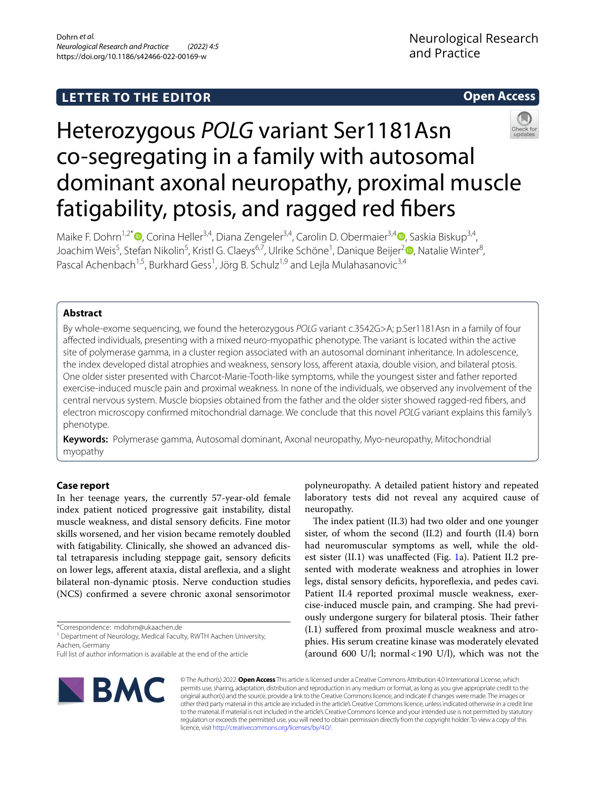# **LETTER TO THE EDITOR**

# **Open Access**



# Heterozygous *POLG* variant Ser1181Asn co-segregating in a family with autosomal dominant axonal neuropathy, proximal muscle fatigability, ptosis, and ragged red fbers

Maike F. Dohrn<sup>1[,](http://orcid.org/0000-0001-6653-8215)2\*</sup><sup>®</sup>, Corina Heller<sup>3,4</sup>, Diana Zengeler<sup>3,4</sup>, Carolin D. Obermaier<sup>3,4</sup><sup>®</sup>, Saskia Biskup<sup>3,4</sup>, Joachim Weis<sup>5</sup>, Stefan Nikolin<sup>5</sup>, Kristl G. Claeys<sup>6,7</sup>, Ulrike Schöne<sup>1</sup>, Danique Beijer<sup>[2](http://orcid.org/0000-0001-6593-7644)</sup>®, Natalie Winter<sup>8</sup>, Pascal Achenbach<sup>1,5</sup>, Burkhard Gess<sup>1</sup>, Jörg B. Schulz<sup>1,9</sup> and Lejla Mulahasanovic<sup>3,4</sup>

# **Abstract**

By whole-exome sequencing, we found the heterozygous *POLG* variant c.3542G>A; p.Ser1181Asn in a family of four afected individuals, presenting with a mixed neuro-myopathic phenotype. The variant is located within the active site of polymerase gamma, in a cluster region associated with an autosomal dominant inheritance. In adolescence, the index developed distal atrophies and weakness, sensory loss, aferent ataxia, double vision, and bilateral ptosis. One older sister presented with Charcot-Marie-Tooth-like symptoms, while the youngest sister and father reported exercise-induced muscle pain and proximal weakness. In none of the individuals, we observed any involvement of the central nervous system. Muscle biopsies obtained from the father and the older sister showed ragged-red fbers, and electron microscopy confrmed mitochondrial damage. We conclude that this novel *POLG* variant explains this family's phenotype.

**Keywords:** Polymerase gamma, Autosomal dominant, Axonal neuropathy, Myo-neuropathy, Mitochondrial myopathy

# **Case report**

In her teenage years, the currently 57-year-old female index patient noticed progressive gait instability, distal muscle weakness, and distal sensory defcits. Fine motor skills worsened, and her vision became remotely doubled with fatigability. Clinically, she showed an advanced distal tetraparesis including steppage gait, sensory defcits on lower legs, aferent ataxia, distal arefexia, and a slight bilateral non-dynamic ptosis. Nerve conduction studies (NCS) confrmed a severe chronic axonal sensorimotor

\*Correspondence: mdohrn@ukaachen.de

<sup>1</sup> Department of Neurology, Medical Faculty, RWTH Aachen University, Aachen, Germany

Full list of author information is available at the end of the article



polyneuropathy. A detailed patient history and repeated laboratory tests did not reveal any acquired cause of neuropathy.

The index patient (II.3) had two older and one younger sister, of whom the second (II.2) and fourth (II.4) born had neuromuscular symptoms as well, while the oldest sister (II.1) was unafected (Fig. [1](#page-1-0)a). Patient II.2 presented with moderate weakness and atrophies in lower legs, distal sensory deficits, hyporeflexia, and pedes cavi. Patient II.4 reported proximal muscle weakness, exercise-induced muscle pain, and cramping. She had previously undergone surgery for bilateral ptosis. Their father (I.1) sufered from proximal muscle weakness and atrophies. His serum creatine kinase was moderately elevated (around 600 U/l; normal<190 U/l), which was not the

© The Author(s) 2022. **Open Access** This article is licensed under a Creative Commons Attribution 4.0 International License, which permits use, sharing, adaptation, distribution and reproduction in any medium or format, as long as you give appropriate credit to the original author(s) and the source, provide a link to the Creative Commons licence, and indicate if changes were made. The images or other third party material in this article are included in the article's Creative Commons licence, unless indicated otherwise in a credit line to the material. If material is not included in the article's Creative Commons licence and your intended use is not permitted by statutory regulation or exceeds the permitted use, you will need to obtain permission directly from the copyright holder. To view a copy of this licence, visit [http://creativecommons.org/licenses/by/4.0/.](http://creativecommons.org/licenses/by/4.0/)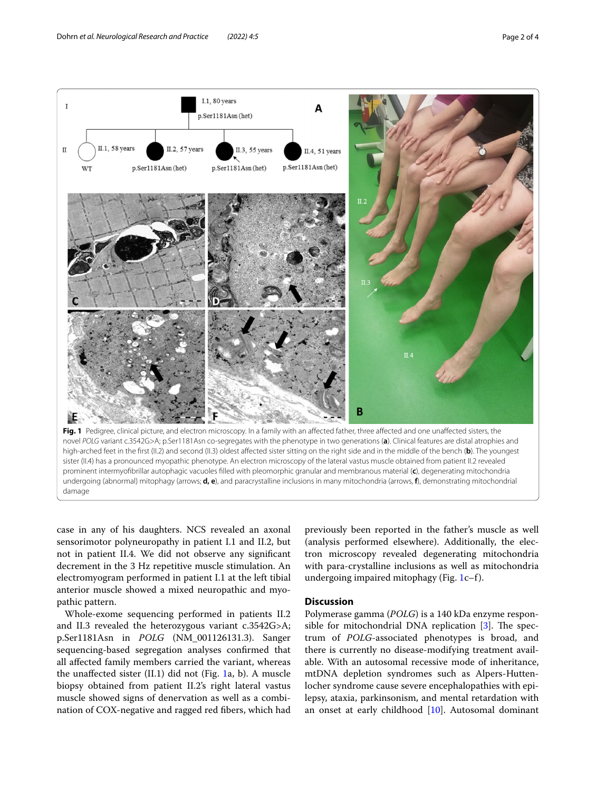

<span id="page-1-0"></span>case in any of his daughters. NCS revealed an axonal sensorimotor polyneuropathy in patient I.1 and II.2, but not in patient II.4. We did not observe any signifcant decrement in the 3 Hz repetitive muscle stimulation. An electromyogram performed in patient I.1 at the left tibial anterior muscle showed a mixed neuropathic and myopathic pattern.

Whole-exome sequencing performed in patients II.2 and II.3 revealed the heterozygous variant c.3542G>A; p.Ser1181Asn in *POLG* (NM\_001126131.3). Sanger sequencing-based segregation analyses confrmed that all afected family members carried the variant, whereas the unafected sister (II.1) did not (Fig. [1a](#page-1-0), b). A muscle biopsy obtained from patient II.2's right lateral vastus muscle showed signs of denervation as well as a combination of COX-negative and ragged red fbers, which had previously been reported in the father's muscle as well (analysis performed elsewhere). Additionally, the electron microscopy revealed degenerating mitochondria with para-crystalline inclusions as well as mitochondria undergoing impaired mitophagy (Fig. [1](#page-1-0)c–f).

## **Discussion**

Polymerase gamma (*POLG*) is a 140 kDa enzyme responsible for mitochondrial DNA replication  $[3]$  $[3]$ . The spectrum of *POLG*-associated phenotypes is broad, and there is currently no disease-modifying treatment available. With an autosomal recessive mode of inheritance, mtDNA depletion syndromes such as Alpers-Huttenlocher syndrome cause severe encephalopathies with epilepsy, ataxia, parkinsonism, and mental retardation with an onset at early childhood [\[10](#page-3-0)]. Autosomal dominant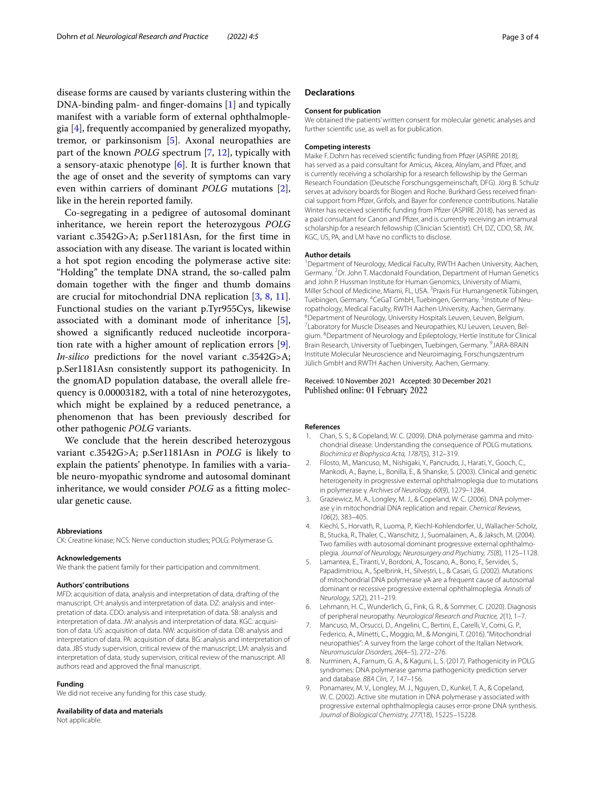disease forms are caused by variants clustering within the DNA-binding palm- and fnger-domains [[1\]](#page-2-1) and typically manifest with a variable form of external ophthalmoplegia [\[4](#page-2-2)], frequently accompanied by generalized myopathy, tremor, or parkinsonism [[5\]](#page-2-3). Axonal neuropathies are part of the known *POLG* spectrum [\[7](#page-2-4), [12\]](#page-3-1), typically with a sensory-ataxic phenotype  $[6]$  $[6]$ . It is further known that the age of onset and the severity of symptoms can vary even within carriers of dominant *POLG* mutations [\[2](#page-2-6)], like in the herein reported family.

Co-segregating in a pedigree of autosomal dominant inheritance, we herein report the heterozygous *POLG* variant c.3542G>A; p.Ser1181Asn, for the frst time in association with any disease. The variant is located within a hot spot region encoding the polymerase active site: "Holding" the template DNA strand, the so-called palm domain together with the fnger and thumb domains are crucial for mitochondrial DNA replication [[3,](#page-2-0) [8,](#page-2-7) [11](#page-3-2)]. Functional studies on the variant p.Tyr955Cys, likewise associated with a dominant mode of inheritance [\[5](#page-2-3)], showed a signifcantly reduced nucleotide incorporation rate with a higher amount of replication errors [\[9](#page-2-8)]. *In-silico* predictions for the novel variant c.3542G>A; p.Ser1181Asn consistently support its pathogenicity. In the gnomAD population database, the overall allele frequency is 0.00003182, with a total of nine heterozygotes, which might be explained by a reduced penetrance, a phenomenon that has been previously described for other pathogenic *POLG* variants.

We conclude that the herein described heterozygous variant c.3542G>A; p.Ser1181Asn in *POLG* is likely to explain the patients' phenotype. In families with a variable neuro-myopathic syndrome and autosomal dominant inheritance, we would consider *POLG* as a ftting molecular genetic cause.

#### **Abbreviations**

CK: Creatine kinase; NCS: Nerve conduction studies; POLG: Polymerase G.

#### **Acknowledgements** We thank the patient family for their participation and commitment.

#### **Authors' contributions**

MFD: acquisition of data, analysis and interpretation of data, drafting of the manuscript. CH: analysis and interpretation of data. DZ: analysis and interpretation of data. CDO: analysis and interpretation of data. SB: analysis and interpretation of data. JW: analysis and interpretation of data. KGC: acquisition of data. US: acquisition of data. NW: acquisition of data. DB: analysis and interpretation of data. PA: acquisition of data. BG: analysis and interpretation of data. JBS study supervision, critical review of the manuscript; LM: analysis and interpretation of data, study supervision, critical review of the manuscript. All authors read and approved the fnal manuscript.

#### **Funding**

We did not receive any funding for this case study.

#### **Availability of data and materials**

Not applicable.

## **Declarations**

#### **Consent for publication**

We obtained the patients' written consent for molecular genetic analyses and further scientifc use, as well as for publication.

#### **Competing interests**

Maike F. Dohrn has received scientifc funding from Pfzer (ASPIRE 2018), has served as a paid consultant for Amicus, Akcea, Alnylam, and Pfizer, and is currently receiving a scholarship for a research fellowship by the German Research Foundation (Deutsche Forschungsgemeinschaft, DFG). Jörg B. Schulz serves at advisory boards for Biogen and Roche. Burkhard Gess received fnancial support from Pfzer, Grifols, and Bayer for conference contributions. Natalie Winter has received scientifc funding from Pfzer (ASPIRE 2018), has served as a paid consultant for Canon and Pfzer, and is currently receiving an intramural scholarship for a research fellowship (Clinician Scientist). CH, DZ, CDO, SB, JW, KGC, US, PA, and LM have no conficts to disclose.

#### **Author details**

<sup>1</sup> Department of Neurology, Medical Faculty, RWTH Aachen University, Aachen, Germany. <sup>2</sup> Dr. John T. Macdonald Foundation, Department of Human Genetics and John P. Hussman Institute for Human Genomics, University of Miami, Miller School of Medicine, Miami, FL, USA. <sup>3</sup> Praxis Für Humangenetik Tübingen, Tuebingen, Germany. <sup>4</sup> CeGaT GmbH, Tuebingen, Germany. <sup>5</sup> Institute of Neuropathology, Medical Faculty, RWTH Aachen University, Aachen, Germany. <sup>6</sup> Department of Neurology, University Hospitals Leuven, Leuven, Belgium.<br><sup>7</sup>Laboratory for Muscle Diseases and Neuropathies, KLLLouven, Louven, Be <sup>7</sup> Laboratory for Muscle Diseases and Neuropathies, KU Leuven, Leuven, Belgium. <sup>8</sup> Department of Neurology and Epileptology, Hertie Institute for Clinical Brain Research, University of Tuebingen, Tuebingen, Germany. <sup>9</sup> JARA-BRAIN Institute Molecular Neuroscience and Neuroimaging, Forschungszentrum Jülich GmbH and RWTH Aachen University, Aachen, Germany.

#### Received: 10 November 2021 Accepted: 30 December 2021 Published online: 01 February 2022

#### **References**

- <span id="page-2-1"></span>1. Chan, S. S., & Copeland, W. C. (2009). DNA polymerase gamma and mitochondrial disease: Understanding the consequence of POLG mutations. *Biochimica et Biophysica Acta, 1787*(5), 312–319.
- <span id="page-2-6"></span>2. Filosto, M., Mancuso, M., Nishigaki, Y., Pancrudo, J., Harati, Y., Gooch, C., Mankodi, A., Bayne, L., Bonilla, E., & Shanske, S. (2003). Clinical and genetic heterogeneity in progressive external ophthalmoplegia due to mutations in polymerase γ. *Archives of Neurology, 60*(9), 1279–1284.
- <span id="page-2-0"></span>3. Graziewicz, M. A., Longley, M. J., & Copeland, W. C. (2006). DNA polymerase γ in mitochondrial DNA replication and repair. *Chemical Reviews, 106*(2), 383–405.
- <span id="page-2-2"></span>4. Kiechl, S., Horvath, R., Luoma, P., Kiechl-Kohlendorfer, U., Wallacher-Scholz, B., Stucka, R., Thaler, C., Wanschitz, J., Suomalainen, A., & Jaksch, M. (2004). Two families with autosomal dominant progressive external ophthalmoplegia. *Journal of Neurology, Neurosurgery and Psychiatry, 75*(8), 1125–1128.
- <span id="page-2-3"></span>5. Lamantea, E., Tiranti, V., Bordoni, A., Toscano, A., Bono, F., Servidei, S., Papadimitriou, A., Spelbrink, H., Silvestri, L., & Casari, G. (2002). Mutations of mitochondrial DNA polymerase γA are a frequent cause of autosomal dominant or recessive progressive external ophthalmoplegia. *Annals of Neurology, 52*(2), 211–219.
- <span id="page-2-5"></span>6. Lehmann, H. C., Wunderlich, G., Fink, G. R., & Sommer, C. (2020). Diagnosis of peripheral neuropathy. *Neurological Research and Practice, 2*(1), 1–7.
- <span id="page-2-4"></span>7. Mancuso, M., Orsucci, D., Angelini, C., Bertini, E., Carelli, V., Comi, G. P., Federico, A., Minetti, C., Moggio, M., & Mongini, T. (2016). "Mitochondrial neuropathies": A survey from the large cohort of the Italian Network. *Neuromuscular Disorders, 26*(4–5), 272–276.
- <span id="page-2-7"></span>8. Nurminen, A., Farnum, G. A., & Kaguni, L. S. (2017). Pathogenicity in POLG syndromes: DNA polymerase gamma pathogenicity prediction server and database. *BBA Clin, 7*, 147–156.
- <span id="page-2-8"></span>9. Ponamarev, M. V., Longley, M. J., Nguyen, D., Kunkel, T. A., & Copeland, W. C. (2002). Active site mutation in DNA polymerase γ associated with progressive external ophthalmoplegia causes error-prone DNA synthesis. *Journal of Biological Chemistry, 277*(18), 15225–15228.